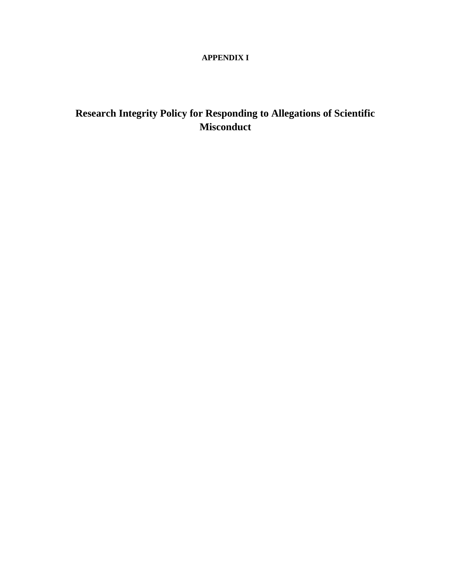## **APPENDIX I**

# **Research Integrity Policy for Responding to Allegations of Scientific Misconduct**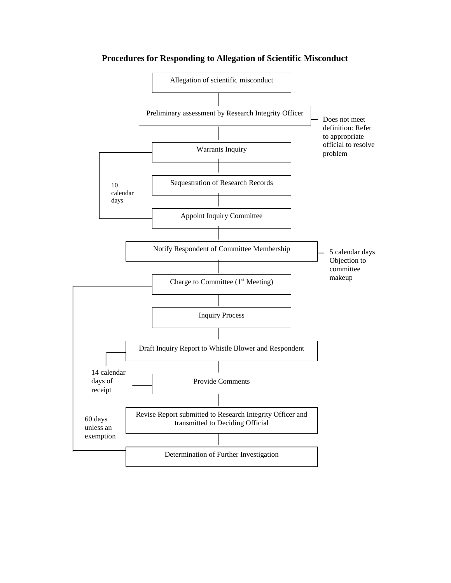

## **Procedures for Responding to Allegation of Scientific Misconduct**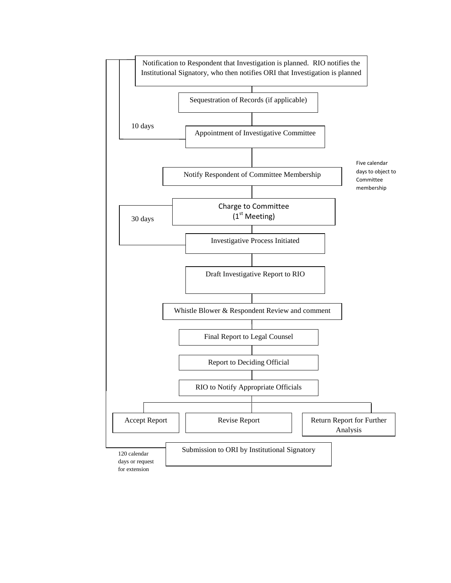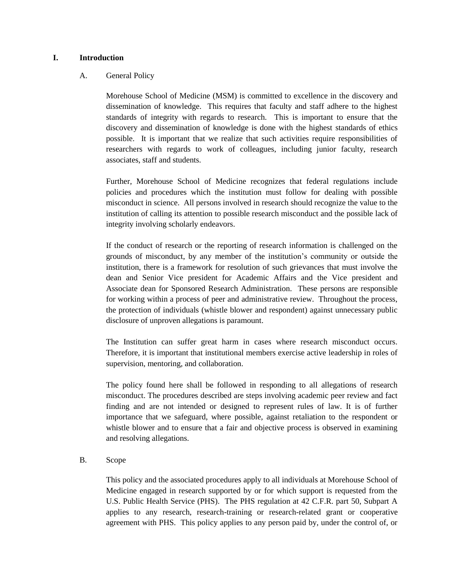#### **I. Introduction**

#### A. General Policy

Morehouse School of Medicine (MSM) is committed to excellence in the discovery and dissemination of knowledge. This requires that faculty and staff adhere to the highest standards of integrity with regards to research. This is important to ensure that the discovery and dissemination of knowledge is done with the highest standards of ethics possible. It is important that we realize that such activities require responsibilities of researchers with regards to work of colleagues, including junior faculty, research associates, staff and students.

Further, Morehouse School of Medicine recognizes that federal regulations include policies and procedures which the institution must follow for dealing with possible misconduct in science. All persons involved in research should recognize the value to the institution of calling its attention to possible research misconduct and the possible lack of integrity involving scholarly endeavors.

If the conduct of research or the reporting of research information is challenged on the grounds of misconduct, by any member of the institution's community or outside the institution, there is a framework for resolution of such grievances that must involve the dean and Senior Vice president for Academic Affairs and the Vice president and Associate dean for Sponsored Research Administration. These persons are responsible for working within a process of peer and administrative review. Throughout the process, the protection of individuals (whistle blower and respondent) against unnecessary public disclosure of unproven allegations is paramount.

The Institution can suffer great harm in cases where research misconduct occurs. Therefore, it is important that institutional members exercise active leadership in roles of supervision, mentoring, and collaboration.

The policy found here shall be followed in responding to all allegations of research misconduct. The procedures described are steps involving academic peer review and fact finding and are not intended or designed to represent rules of law. It is of further importance that we safeguard, where possible, against retaliation to the respondent or whistle blower and to ensure that a fair and objective process is observed in examining and resolving allegations.

#### B. Scope

This policy and the associated procedures apply to all individuals at Morehouse School of Medicine engaged in research supported by or for which support is requested from the U.S. Public Health Service (PHS). The PHS regulation at 42 C.F.R. part 50, Subpart A applies to any research, research-training or research-related grant or cooperative agreement with PHS. This policy applies to any person paid by, under the control of, or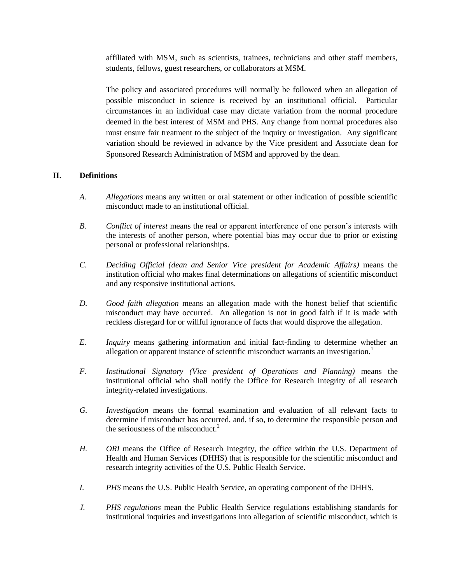affiliated with MSM, such as scientists, trainees, technicians and other staff members, students, fellows, guest researchers, or collaborators at MSM.

The policy and associated procedures will normally be followed when an allegation of possible misconduct in science is received by an institutional official. Particular circumstances in an individual case may dictate variation from the normal procedure deemed in the best interest of MSM and PHS. Any change from normal procedures also must ensure fair treatment to the subject of the inquiry or investigation. Any significant variation should be reviewed in advance by the Vice president and Associate dean for Sponsored Research Administration of MSM and approved by the dean.

## **II. Definitions**

- *A. Allegations* means any written or oral statement or other indication of possible scientific misconduct made to an institutional official.
- *B. Conflict of interest* means the real or apparent interference of one person's interests with the interests of another person, where potential bias may occur due to prior or existing personal or professional relationships.
- *C. Deciding Official (dean and Senior Vice president for Academic Affairs)* means the institution official who makes final determinations on allegations of scientific misconduct and any responsive institutional actions.
- *D. Good faith allegation* means an allegation made with the honest belief that scientific misconduct may have occurred. An allegation is not in good faith if it is made with reckless disregard for or willful ignorance of facts that would disprove the allegation.
- *E. Inquiry* means gathering information and initial fact-finding to determine whether an allegation or apparent instance of scientific misconduct warrants an investigation.<sup>1</sup>
- *F. Institutional Signatory (Vice president of Operations and Planning)* means the institutional official who shall notify the Office for Research Integrity of all research integrity-related investigations.
- *G. Investigation* means the formal examination and evaluation of all relevant facts to determine if misconduct has occurred, and, if so, to determine the responsible person and the seriousness of the misconduct. $2^2$
- *H. ORI* means the Office of Research Integrity, the office within the U.S. Department of Health and Human Services (DHHS) that is responsible for the scientific misconduct and research integrity activities of the U.S. Public Health Service.
- *I. PHS* means the U.S. Public Health Service, an operating component of the DHHS.
- *J. PHS regulations* mean the Public Health Service regulations establishing standards for institutional inquiries and investigations into allegation of scientific misconduct, which is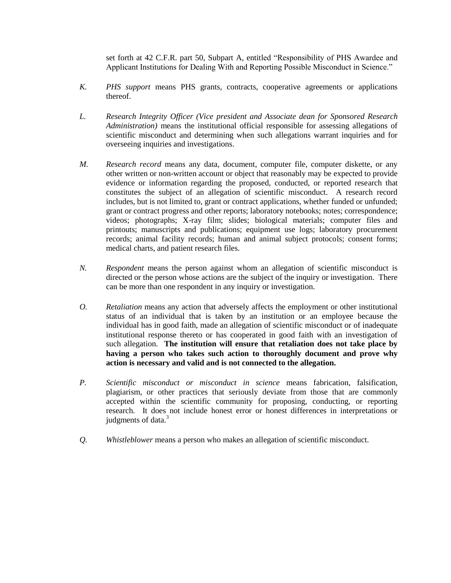set forth at 42 C.F.R. part 50, Subpart A, entitled "Responsibility of PHS Awardee and Applicant Institutions for Dealing With and Reporting Possible Misconduct in Science."

- *K. PHS support* means PHS grants, contracts, cooperative agreements or applications thereof.
- *L. Research Integrity Officer (Vice president and Associate dean for Sponsored Research Administration)* means the institutional official responsible for assessing allegations of scientific misconduct and determining when such allegations warrant inquiries and for overseeing inquiries and investigations.
- *M. Research record* means any data, document, computer file, computer diskette, or any other written or non-written account or object that reasonably may be expected to provide evidence or information regarding the proposed, conducted, or reported research that constitutes the subject of an allegation of scientific misconduct. A research record includes, but is not limited to, grant or contract applications, whether funded or unfunded; grant or contract progress and other reports; laboratory notebooks; notes; correspondence; videos; photographs; X-ray film; slides; biological materials; computer files and printouts; manuscripts and publications; equipment use logs; laboratory procurement records; animal facility records; human and animal subject protocols; consent forms; medical charts, and patient research files.
- *N. Respondent* means the person against whom an allegation of scientific misconduct is directed or the person whose actions are the subject of the inquiry or investigation. There can be more than one respondent in any inquiry or investigation.
- *O. Retaliation* means any action that adversely affects the employment or other institutional status of an individual that is taken by an institution or an employee because the individual has in good faith, made an allegation of scientific misconduct or of inadequate institutional response thereto or has cooperated in good faith with an investigation of such allegation. **The institution will ensure that retaliation does not take place by having a person who takes such action to thoroughly document and prove why action is necessary and valid and is not connected to the allegation.**
- *P. Scientific misconduct or misconduct in science* means fabrication, falsification, plagiarism, or other practices that seriously deviate from those that are commonly accepted within the scientific community for proposing, conducting, or reporting research. It does not include honest error or honest differences in interpretations or judgments of data.<sup>3</sup>
- *Q. Whistleblower* means a person who makes an allegation of scientific misconduct.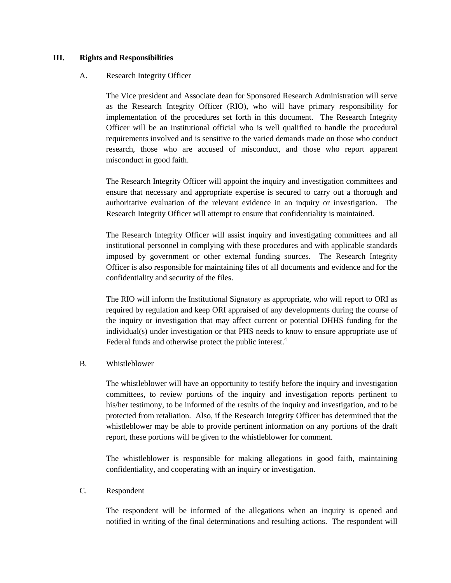#### **III. Rights and Responsibilities**

#### A. Research Integrity Officer

The Vice president and Associate dean for Sponsored Research Administration will serve as the Research Integrity Officer (RIO), who will have primary responsibility for implementation of the procedures set forth in this document. The Research Integrity Officer will be an institutional official who is well qualified to handle the procedural requirements involved and is sensitive to the varied demands made on those who conduct research, those who are accused of misconduct, and those who report apparent misconduct in good faith.

The Research Integrity Officer will appoint the inquiry and investigation committees and ensure that necessary and appropriate expertise is secured to carry out a thorough and authoritative evaluation of the relevant evidence in an inquiry or investigation. The Research Integrity Officer will attempt to ensure that confidentiality is maintained.

The Research Integrity Officer will assist inquiry and investigating committees and all institutional personnel in complying with these procedures and with applicable standards imposed by government or other external funding sources. The Research Integrity Officer is also responsible for maintaining files of all documents and evidence and for the confidentiality and security of the files.

The RIO will inform the Institutional Signatory as appropriate, who will report to ORI as required by regulation and keep ORI appraised of any developments during the course of the inquiry or investigation that may affect current or potential DHHS funding for the individual(s) under investigation or that PHS needs to know to ensure appropriate use of Federal funds and otherwise protect the public interest.<sup>4</sup>

#### B. Whistleblower

The whistleblower will have an opportunity to testify before the inquiry and investigation committees, to review portions of the inquiry and investigation reports pertinent to his/her testimony, to be informed of the results of the inquiry and investigation, and to be protected from retaliation. Also, if the Research Integrity Officer has determined that the whistleblower may be able to provide pertinent information on any portions of the draft report, these portions will be given to the whistleblower for comment.

The whistleblower is responsible for making allegations in good faith, maintaining confidentiality, and cooperating with an inquiry or investigation.

#### C. Respondent

The respondent will be informed of the allegations when an inquiry is opened and notified in writing of the final determinations and resulting actions. The respondent will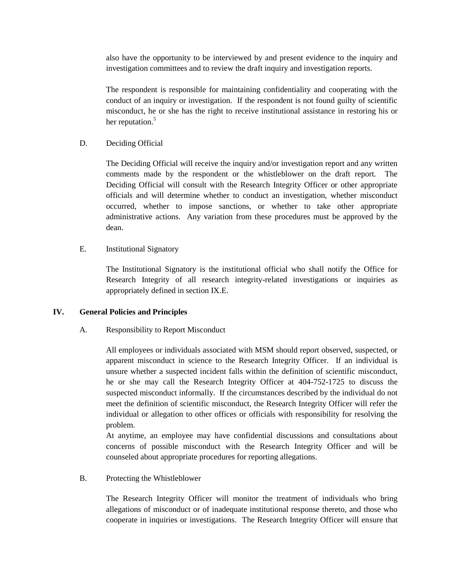also have the opportunity to be interviewed by and present evidence to the inquiry and investigation committees and to review the draft inquiry and investigation reports.

The respondent is responsible for maintaining confidentiality and cooperating with the conduct of an inquiry or investigation. If the respondent is not found guilty of scientific misconduct, he or she has the right to receive institutional assistance in restoring his or her reputation.<sup>5</sup>

## D. Deciding Official

The Deciding Official will receive the inquiry and/or investigation report and any written comments made by the respondent or the whistleblower on the draft report. The Deciding Official will consult with the Research Integrity Officer or other appropriate officials and will determine whether to conduct an investigation, whether misconduct occurred, whether to impose sanctions, or whether to take other appropriate administrative actions. Any variation from these procedures must be approved by the dean.

E. Institutional Signatory

The Institutional Signatory is the institutional official who shall notify the Office for Research Integrity of all research integrity-related investigations or inquiries as appropriately defined in section IX.E.

#### **IV. General Policies and Principles**

#### A. Responsibility to Report Misconduct

All employees or individuals associated with MSM should report observed, suspected, or apparent misconduct in science to the Research Integrity Officer. If an individual is unsure whether a suspected incident falls within the definition of scientific misconduct, he or she may call the Research Integrity Officer at 404-752-1725 to discuss the suspected misconduct informally. If the circumstances described by the individual do not meet the definition of scientific misconduct, the Research Integrity Officer will refer the individual or allegation to other offices or officials with responsibility for resolving the problem.

At anytime, an employee may have confidential discussions and consultations about concerns of possible misconduct with the Research Integrity Officer and will be counseled about appropriate procedures for reporting allegations.

#### B. Protecting the Whistleblower

The Research Integrity Officer will monitor the treatment of individuals who bring allegations of misconduct or of inadequate institutional response thereto, and those who cooperate in inquiries or investigations. The Research Integrity Officer will ensure that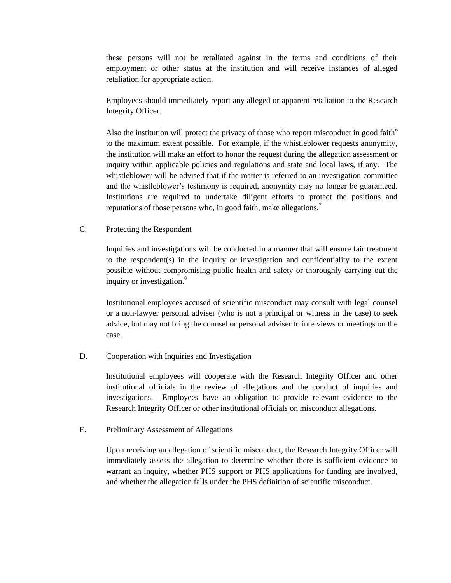these persons will not be retaliated against in the terms and conditions of their employment or other status at the institution and will receive instances of alleged retaliation for appropriate action.

Employees should immediately report any alleged or apparent retaliation to the Research Integrity Officer.

Also the institution will protect the privacy of those who report misconduct in good faith<sup>6</sup> to the maximum extent possible. For example, if the whistleblower requests anonymity, the institution will make an effort to honor the request during the allegation assessment or inquiry within applicable policies and regulations and state and local laws, if any. The whistleblower will be advised that if the matter is referred to an investigation committee and the whistleblower's testimony is required, anonymity may no longer be guaranteed. Institutions are required to undertake diligent efforts to protect the positions and reputations of those persons who, in good faith, make allegations.<sup>7</sup>

C. Protecting the Respondent

Inquiries and investigations will be conducted in a manner that will ensure fair treatment to the respondent(s) in the inquiry or investigation and confidentiality to the extent possible without compromising public health and safety or thoroughly carrying out the inquiry or investigation.<sup>8</sup>

Institutional employees accused of scientific misconduct may consult with legal counsel or a non-lawyer personal adviser (who is not a principal or witness in the case) to seek advice, but may not bring the counsel or personal adviser to interviews or meetings on the case.

D. Cooperation with Inquiries and Investigation

Institutional employees will cooperate with the Research Integrity Officer and other institutional officials in the review of allegations and the conduct of inquiries and investigations. Employees have an obligation to provide relevant evidence to the Research Integrity Officer or other institutional officials on misconduct allegations.

E. Preliminary Assessment of Allegations

Upon receiving an allegation of scientific misconduct, the Research Integrity Officer will immediately assess the allegation to determine whether there is sufficient evidence to warrant an inquiry, whether PHS support or PHS applications for funding are involved, and whether the allegation falls under the PHS definition of scientific misconduct.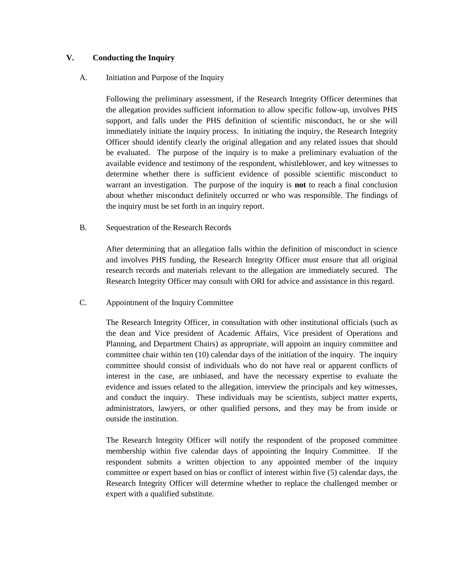## **V. Conducting the Inquiry**

#### A. Initiation and Purpose of the Inquiry

Following the preliminary assessment, if the Research Integrity Officer determines that the allegation provides sufficient information to allow specific follow-up, involves PHS support, and falls under the PHS definition of scientific misconduct, he or she will immediately initiate the inquiry process. In initiating the inquiry, the Research Integrity Officer should identify clearly the original allegation and any related issues that should be evaluated. The purpose of the inquiry is to make a preliminary evaluation of the available evidence and testimony of the respondent, whistleblower, and key witnesses to determine whether there is sufficient evidence of possible scientific misconduct to warrant an investigation. The purpose of the inquiry is **not** to reach a final conclusion about whether misconduct definitely occurred or who was responsible. The findings of the inquiry must be set forth in an inquiry report.

B. Sequestration of the Research Records

After determining that an allegation falls within the definition of misconduct in science and involves PHS funding, the Research Integrity Officer must ensure that all original research records and materials relevant to the allegation are immediately secured. The Research Integrity Officer may consult with ORI for advice and assistance in this regard.

C. Appointment of the Inquiry Committee

The Research Integrity Officer, in consultation with other institutional officials (such as the dean and Vice president of Academic Affairs, Vice president of Operations and Planning, and Department Chairs) as appropriate, will appoint an inquiry committee and committee chair within ten (10) calendar days of the initiation of the inquiry. The inquiry committee should consist of individuals who do not have real or apparent conflicts of interest in the case, are unbiased, and have the necessary expertise to evaluate the evidence and issues related to the allegation, interview the principals and key witnesses, and conduct the inquiry. These individuals may be scientists, subject matter experts, administrators, lawyers, or other qualified persons, and they may be from inside or outside the institution.

The Research Integrity Officer will notify the respondent of the proposed committee membership within five calendar days of appointing the Inquiry Committee. If the respondent submits a written objection to any appointed member of the inquiry committee or expert based on bias or conflict of interest within five (5) calendar days, the Research Integrity Officer will determine whether to replace the challenged member or expert with a qualified substitute.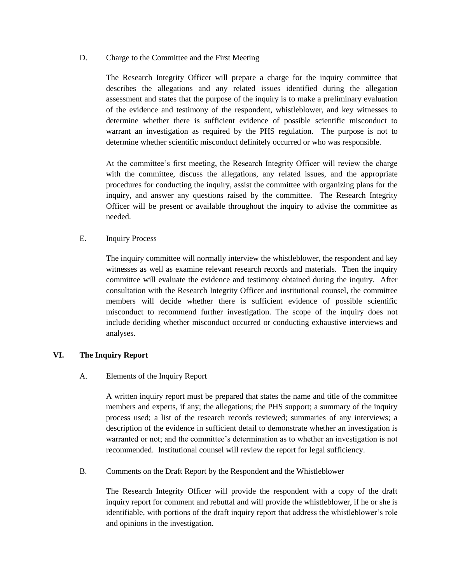#### D. Charge to the Committee and the First Meeting

The Research Integrity Officer will prepare a charge for the inquiry committee that describes the allegations and any related issues identified during the allegation assessment and states that the purpose of the inquiry is to make a preliminary evaluation of the evidence and testimony of the respondent, whistleblower, and key witnesses to determine whether there is sufficient evidence of possible scientific misconduct to warrant an investigation as required by the PHS regulation. The purpose is not to determine whether scientific misconduct definitely occurred or who was responsible.

At the committee's first meeting, the Research Integrity Officer will review the charge with the committee, discuss the allegations, any related issues, and the appropriate procedures for conducting the inquiry, assist the committee with organizing plans for the inquiry, and answer any questions raised by the committee. The Research Integrity Officer will be present or available throughout the inquiry to advise the committee as needed.

## E. Inquiry Process

The inquiry committee will normally interview the whistleblower, the respondent and key witnesses as well as examine relevant research records and materials. Then the inquiry committee will evaluate the evidence and testimony obtained during the inquiry. After consultation with the Research Integrity Officer and institutional counsel, the committee members will decide whether there is sufficient evidence of possible scientific misconduct to recommend further investigation. The scope of the inquiry does not include deciding whether misconduct occurred or conducting exhaustive interviews and analyses.

#### **VI. The Inquiry Report**

#### A. Elements of the Inquiry Report

A written inquiry report must be prepared that states the name and title of the committee members and experts, if any; the allegations; the PHS support; a summary of the inquiry process used; a list of the research records reviewed; summaries of any interviews; a description of the evidence in sufficient detail to demonstrate whether an investigation is warranted or not; and the committee's determination as to whether an investigation is not recommended. Institutional counsel will review the report for legal sufficiency.

B. Comments on the Draft Report by the Respondent and the Whistleblower

The Research Integrity Officer will provide the respondent with a copy of the draft inquiry report for comment and rebuttal and will provide the whistleblower, if he or she is identifiable, with portions of the draft inquiry report that address the whistleblower's role and opinions in the investigation.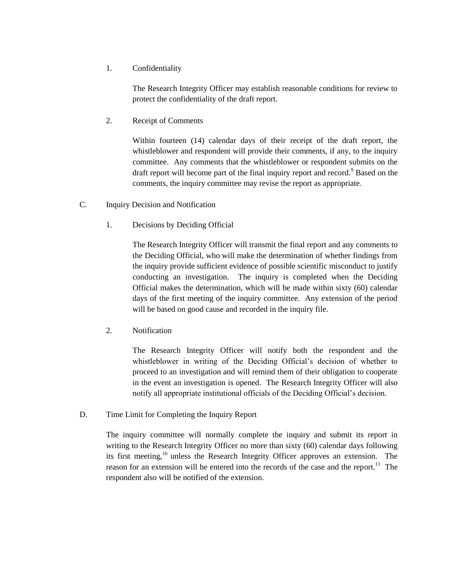## 1. Confidentiality

The Research Integrity Officer may establish reasonable conditions for review to protect the confidentiality of the draft report.

2. Receipt of Comments

Within fourteen (14) calendar days of their receipt of the draft report, the whistleblower and respondent will provide their comments, if any, to the inquiry committee. Any comments that the whistleblower or respondent submits on the draft report will become part of the final inquiry report and record.<sup>9</sup> Based on the comments, the inquiry committee may revise the report as appropriate.

- C. Inquiry Decision and Notification
	- 1. Decisions by Deciding Official

The Research Integrity Officer will transmit the final report and any comments to the Deciding Official, who will make the determination of whether findings from the inquiry provide sufficient evidence of possible scientific misconduct to justify conducting an investigation. The inquiry is completed when the Deciding Official makes the determination, which will be made within sixty (60) calendar days of the first meeting of the inquiry committee. Any extension of the period will be based on good cause and recorded in the inquiry file.

2. Notification

The Research Integrity Officer will notify both the respondent and the whistleblower in writing of the Deciding Official's decision of whether to proceed to an investigation and will remind them of their obligation to cooperate in the event an investigation is opened. The Research Integrity Officer will also notify all appropriate institutional officials of the Deciding Official's decision.

D. Time Limit for Completing the Inquiry Report

The inquiry committee will normally complete the inquiry and submit its report in writing to the Research Integrity Officer no more than sixty (60) calendar days following its first meeting,<sup>10</sup> unless the Research Integrity Officer approves an extension. The reason for an extension will be entered into the records of the case and the report.<sup>11</sup> The respondent also will be notified of the extension.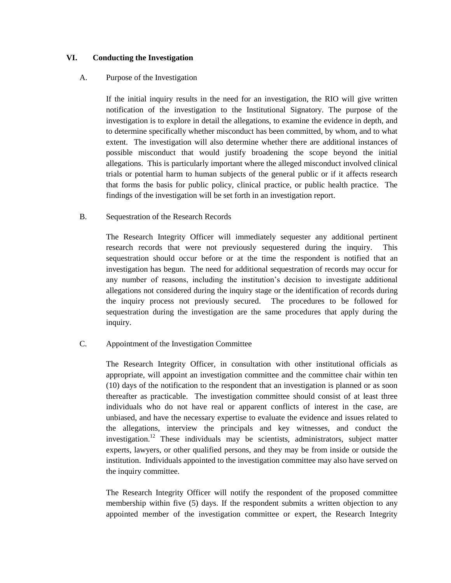#### **VI. Conducting the Investigation**

#### A. Purpose of the Investigation

If the initial inquiry results in the need for an investigation, the RIO will give written notification of the investigation to the Institutional Signatory. The purpose of the investigation is to explore in detail the allegations, to examine the evidence in depth, and to determine specifically whether misconduct has been committed, by whom, and to what extent. The investigation will also determine whether there are additional instances of possible misconduct that would justify broadening the scope beyond the initial allegations. This is particularly important where the alleged misconduct involved clinical trials or potential harm to human subjects of the general public or if it affects research that forms the basis for public policy, clinical practice, or public health practice. The findings of the investigation will be set forth in an investigation report.

## B. Sequestration of the Research Records

The Research Integrity Officer will immediately sequester any additional pertinent research records that were not previously sequestered during the inquiry. This sequestration should occur before or at the time the respondent is notified that an investigation has begun. The need for additional sequestration of records may occur for any number of reasons, including the institution's decision to investigate additional allegations not considered during the inquiry stage or the identification of records during the inquiry process not previously secured. The procedures to be followed for sequestration during the investigation are the same procedures that apply during the inquiry.

## C. Appointment of the Investigation Committee

The Research Integrity Officer, in consultation with other institutional officials as appropriate, will appoint an investigation committee and the committee chair within ten (10) days of the notification to the respondent that an investigation is planned or as soon thereafter as practicable. The investigation committee should consist of at least three individuals who do not have real or apparent conflicts of interest in the case, are unbiased, and have the necessary expertise to evaluate the evidence and issues related to the allegations, interview the principals and key witnesses, and conduct the investigation.<sup>12</sup> These individuals may be scientists, administrators, subject matter experts, lawyers, or other qualified persons, and they may be from inside or outside the institution. Individuals appointed to the investigation committee may also have served on the inquiry committee.

The Research Integrity Officer will notify the respondent of the proposed committee membership within five (5) days. If the respondent submits a written objection to any appointed member of the investigation committee or expert, the Research Integrity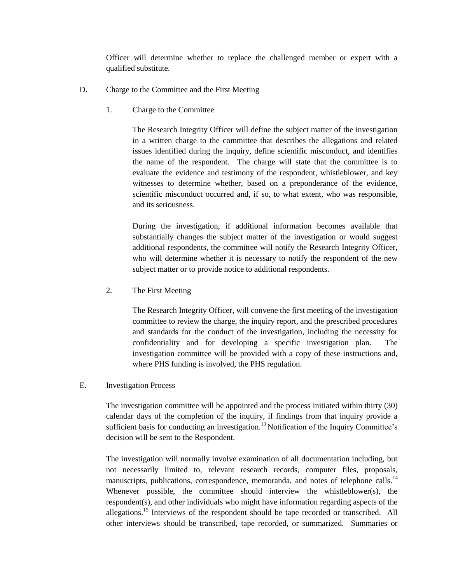Officer will determine whether to replace the challenged member or expert with a qualified substitute.

- D. Charge to the Committee and the First Meeting
	- 1. Charge to the Committee

The Research Integrity Officer will define the subject matter of the investigation in a written charge to the committee that describes the allegations and related issues identified during the inquiry, define scientific misconduct, and identifies the name of the respondent. The charge will state that the committee is to evaluate the evidence and testimony of the respondent, whistleblower, and key witnesses to determine whether, based on a preponderance of the evidence, scientific misconduct occurred and, if so, to what extent, who was responsible, and its seriousness.

During the investigation, if additional information becomes available that substantially changes the subject matter of the investigation or would suggest additional respondents, the committee will notify the Research Integrity Officer, who will determine whether it is necessary to notify the respondent of the new subject matter or to provide notice to additional respondents.

2. The First Meeting

The Research Integrity Officer, will convene the first meeting of the investigation committee to review the charge, the inquiry report, and the prescribed procedures and standards for the conduct of the investigation, including the necessity for confidentiality and for developing a specific investigation plan. The investigation committee will be provided with a copy of these instructions and, where PHS funding is involved, the PHS regulation.

E. Investigation Process

The investigation committee will be appointed and the process initiated within thirty (30) calendar days of the completion of the inquiry, if findings from that inquiry provide a sufficient basis for conducting an investigation.<sup>13</sup> Notification of the Inquiry Committee's decision will be sent to the Respondent.

The investigation will normally involve examination of all documentation including, but not necessarily limited to, relevant research records, computer files, proposals, manuscripts, publications, correspondence, memoranda, and notes of telephone calls.<sup>14</sup> Whenever possible, the committee should interview the whistleblower(s), the respondent(s), and other individuals who might have information regarding aspects of the allegations.<sup>15</sup> Interviews of the respondent should be tape recorded or transcribed. All other interviews should be transcribed, tape recorded, or summarized. Summaries or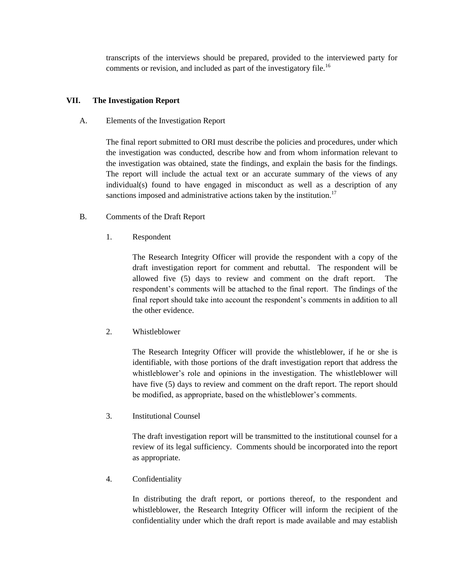transcripts of the interviews should be prepared, provided to the interviewed party for comments or revision, and included as part of the investigatory file.<sup>16</sup>

## **VII. The Investigation Report**

A. Elements of the Investigation Report

The final report submitted to ORI must describe the policies and procedures, under which the investigation was conducted, describe how and from whom information relevant to the investigation was obtained, state the findings, and explain the basis for the findings. The report will include the actual text or an accurate summary of the views of any individual(s) found to have engaged in misconduct as well as a description of any sanctions imposed and administrative actions taken by the institution.<sup>17</sup>

- B. Comments of the Draft Report
	- 1. Respondent

The Research Integrity Officer will provide the respondent with a copy of the draft investigation report for comment and rebuttal. The respondent will be allowed five (5) days to review and comment on the draft report. The respondent's comments will be attached to the final report. The findings of the final report should take into account the respondent's comments in addition to all the other evidence.

2. Whistleblower

The Research Integrity Officer will provide the whistleblower, if he or she is identifiable, with those portions of the draft investigation report that address the whistleblower's role and opinions in the investigation. The whistleblower will have five (5) days to review and comment on the draft report. The report should be modified, as appropriate, based on the whistleblower's comments.

3. Institutional Counsel

The draft investigation report will be transmitted to the institutional counsel for a review of its legal sufficiency. Comments should be incorporated into the report as appropriate.

4. Confidentiality

In distributing the draft report, or portions thereof, to the respondent and whistleblower, the Research Integrity Officer will inform the recipient of the confidentiality under which the draft report is made available and may establish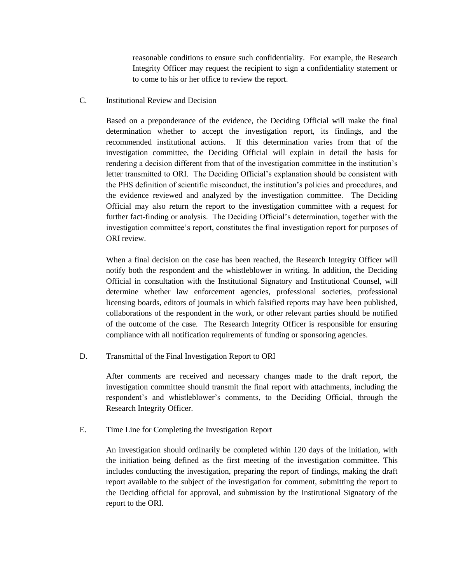reasonable conditions to ensure such confidentiality. For example, the Research Integrity Officer may request the recipient to sign a confidentiality statement or to come to his or her office to review the report.

C. Institutional Review and Decision

Based on a preponderance of the evidence, the Deciding Official will make the final determination whether to accept the investigation report, its findings, and the recommended institutional actions. If this determination varies from that of the investigation committee, the Deciding Official will explain in detail the basis for rendering a decision different from that of the investigation committee in the institution's letter transmitted to ORI. The Deciding Official's explanation should be consistent with the PHS definition of scientific misconduct, the institution's policies and procedures, and the evidence reviewed and analyzed by the investigation committee. The Deciding Official may also return the report to the investigation committee with a request for further fact-finding or analysis. The Deciding Official's determination, together with the investigation committee's report, constitutes the final investigation report for purposes of ORI review.

When a final decision on the case has been reached, the Research Integrity Officer will notify both the respondent and the whistleblower in writing. In addition, the Deciding Official in consultation with the Institutional Signatory and Institutional Counsel, will determine whether law enforcement agencies, professional societies, professional licensing boards, editors of journals in which falsified reports may have been published, collaborations of the respondent in the work, or other relevant parties should be notified of the outcome of the case. The Research Integrity Officer is responsible for ensuring compliance with all notification requirements of funding or sponsoring agencies.

D. Transmittal of the Final Investigation Report to ORI

After comments are received and necessary changes made to the draft report, the investigation committee should transmit the final report with attachments, including the respondent's and whistleblower's comments, to the Deciding Official, through the Research Integrity Officer.

E. Time Line for Completing the Investigation Report

An investigation should ordinarily be completed within 120 days of the initiation, with the initiation being defined as the first meeting of the investigation committee. This includes conducting the investigation, preparing the report of findings, making the draft report available to the subject of the investigation for comment, submitting the report to the Deciding official for approval, and submission by the Institutional Signatory of the report to the ORI.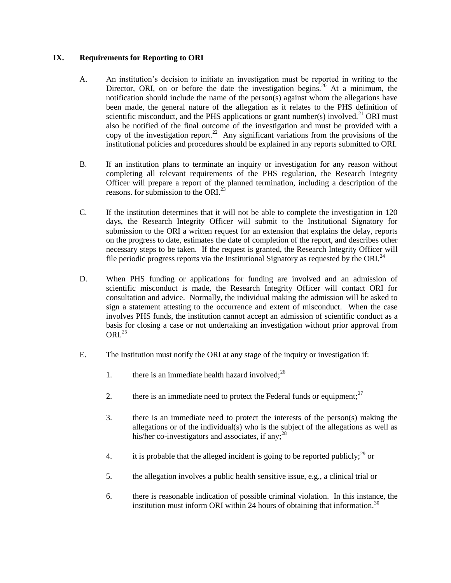#### **IX. Requirements for Reporting to ORI**

- A. An institution's decision to initiate an investigation must be reported in writing to the Director, ORI, on or before the date the investigation begins.<sup>20</sup> At a minimum, the notification should include the name of the person(s) against whom the allegations have been made, the general nature of the allegation as it relates to the PHS definition of scientific misconduct, and the PHS applications or grant number(s) involved.<sup>21</sup> ORI must also be notified of the final outcome of the investigation and must be provided with a copy of the investigation report.<sup>22</sup> Any significant variations from the provisions of the institutional policies and procedures should be explained in any reports submitted to ORI.
- B. If an institution plans to terminate an inquiry or investigation for any reason without completing all relevant requirements of the PHS regulation, the Research Integrity Officer will prepare a report of the planned termination, including a description of the reasons. for submission to the ORI $^{23}$
- C. If the institution determines that it will not be able to complete the investigation in 120 days, the Research Integrity Officer will submit to the Institutional Signatory for submission to the ORI a written request for an extension that explains the delay, reports on the progress to date, estimates the date of completion of the report, and describes other necessary steps to be taken. If the request is granted, the Research Integrity Officer will file periodic progress reports via the Institutional Signatory as requested by the ORI. $^{24}$
- D. When PHS funding or applications for funding are involved and an admission of scientific misconduct is made, the Research Integrity Officer will contact ORI for consultation and advice. Normally, the individual making the admission will be asked to sign a statement attesting to the occurrence and extent of misconduct. When the case involves PHS funds, the institution cannot accept an admission of scientific conduct as a basis for closing a case or not undertaking an investigation without prior approval from ORI. $^{25}$
- E. The Institution must notify the ORI at any stage of the inquiry or investigation if:
	- 1. there is an immediate health hazard involved; $^{26}$
	- 2. there is an immediate need to protect the Federal funds or equipment; $^{27}$
	- 3. there is an immediate need to protect the interests of the person(s) making the allegations or of the individual(s) who is the subject of the allegations as well as his/her co-investigators and associates, if any; $^{28}$
	- 4. it is probable that the alleged incident is going to be reported publicly;  $^{29}$  or
	- 5. the allegation involves a public health sensitive issue, e.g., a clinical trial or
	- 6. there is reasonable indication of possible criminal violation. In this instance, the institution must inform ORI within 24 hours of obtaining that information.<sup>30</sup>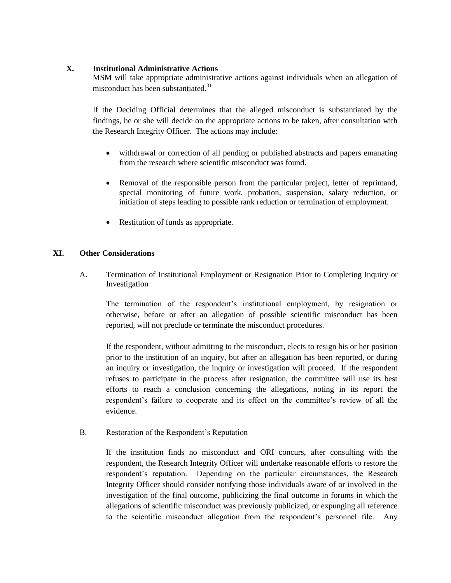### **X. Institutional Administrative Actions**

MSM will take appropriate administrative actions against individuals when an allegation of misconduct has been substantiated.<sup>31</sup>

If the Deciding Official determines that the alleged misconduct is substantiated by the findings, he or she will decide on the appropriate actions to be taken, after consultation with the Research Integrity Officer. The actions may include:

- withdrawal or correction of all pending or published abstracts and papers emanating from the research where scientific misconduct was found.
- Removal of the responsible person from the particular project, letter of reprimand, special monitoring of future work, probation, suspension, salary reduction, or initiation of steps leading to possible rank reduction or termination of employment.
- Restitution of funds as appropriate.

## **XI. Other Considerations**

A. Termination of Institutional Employment or Resignation Prior to Completing Inquiry or Investigation

The termination of the respondent's institutional employment, by resignation or otherwise, before or after an allegation of possible scientific misconduct has been reported, will not preclude or terminate the misconduct procedures.

If the respondent, without admitting to the misconduct, elects to resign his or her position prior to the institution of an inquiry, but after an allegation has been reported, or during an inquiry or investigation, the inquiry or investigation will proceed. If the respondent refuses to participate in the process after resignation, the committee will use its best efforts to reach a conclusion concerning the allegations, noting in its report the respondent's failure to cooperate and its effect on the committee's review of all the evidence.

B. Restoration of the Respondent's Reputation

If the institution finds no misconduct and ORI concurs, after consulting with the respondent, the Research Integrity Officer will undertake reasonable efforts to restore the respondent's reputation. Depending on the particular circumstances, the Research Integrity Officer should consider notifying those individuals aware of or involved in the investigation of the final outcome, publicizing the final outcome in forums in which the allegations of scientific misconduct was previously publicized, or expunging all reference to the scientific misconduct allegation from the respondent's personnel file. Any